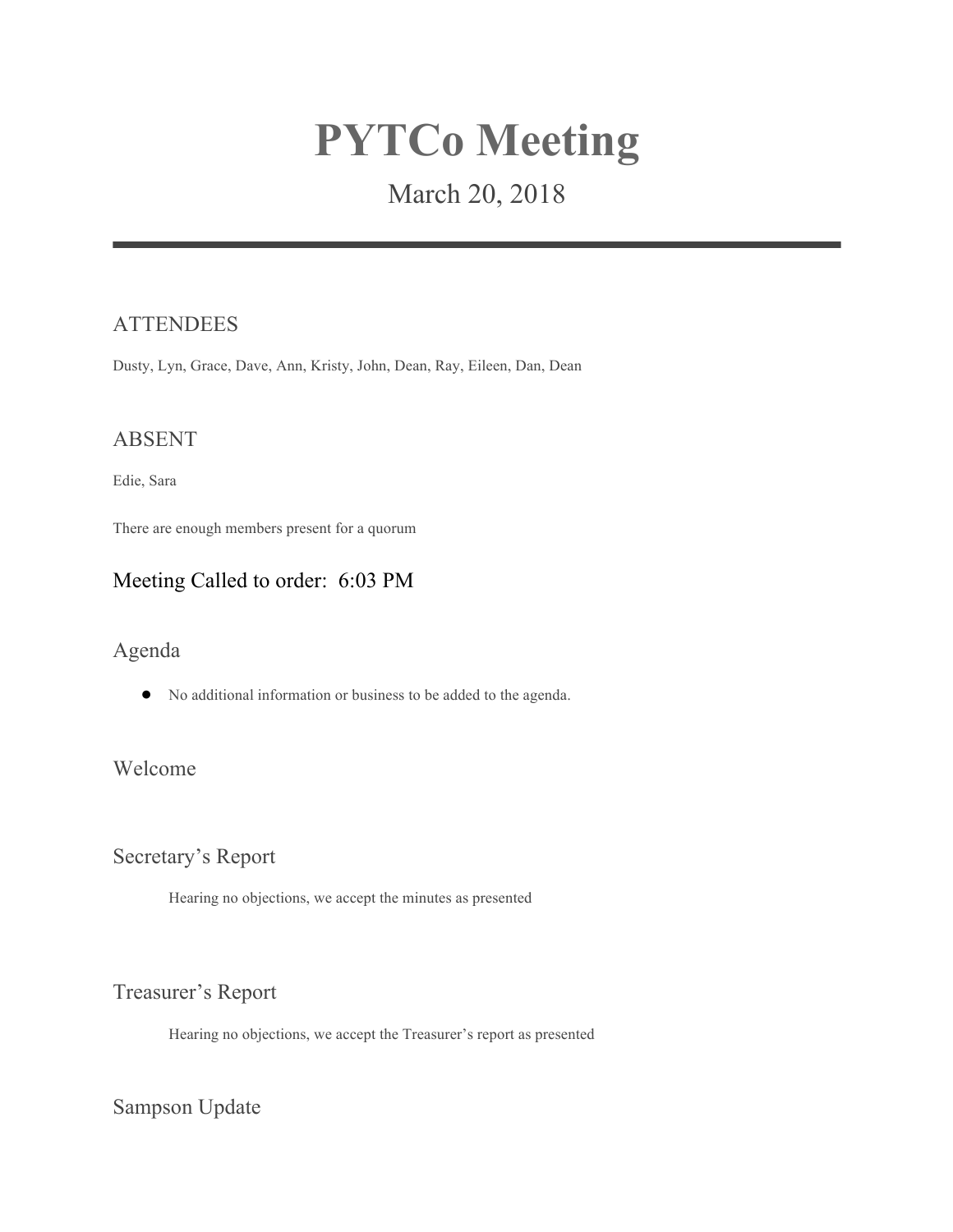# **PYTCo Meeting**

## March 20, 2018

## **ATTENDEES**

Dusty, Lyn, Grace, Dave, Ann, Kristy, John, Dean, Ray, Eileen, Dan, Dean

## ABSENT

Edie, Sara

There are enough members present for a quorum

## Meeting Called to order: 6:03 PM

#### Agenda

● No additional information or business to be added to the agenda.

## Welcome

Secretary's Report

Hearing no objections, we accept the minutes as presented

## Treasurer's Report

Hearing no objections, we accept the Treasurer's report as presented

## Sampson Update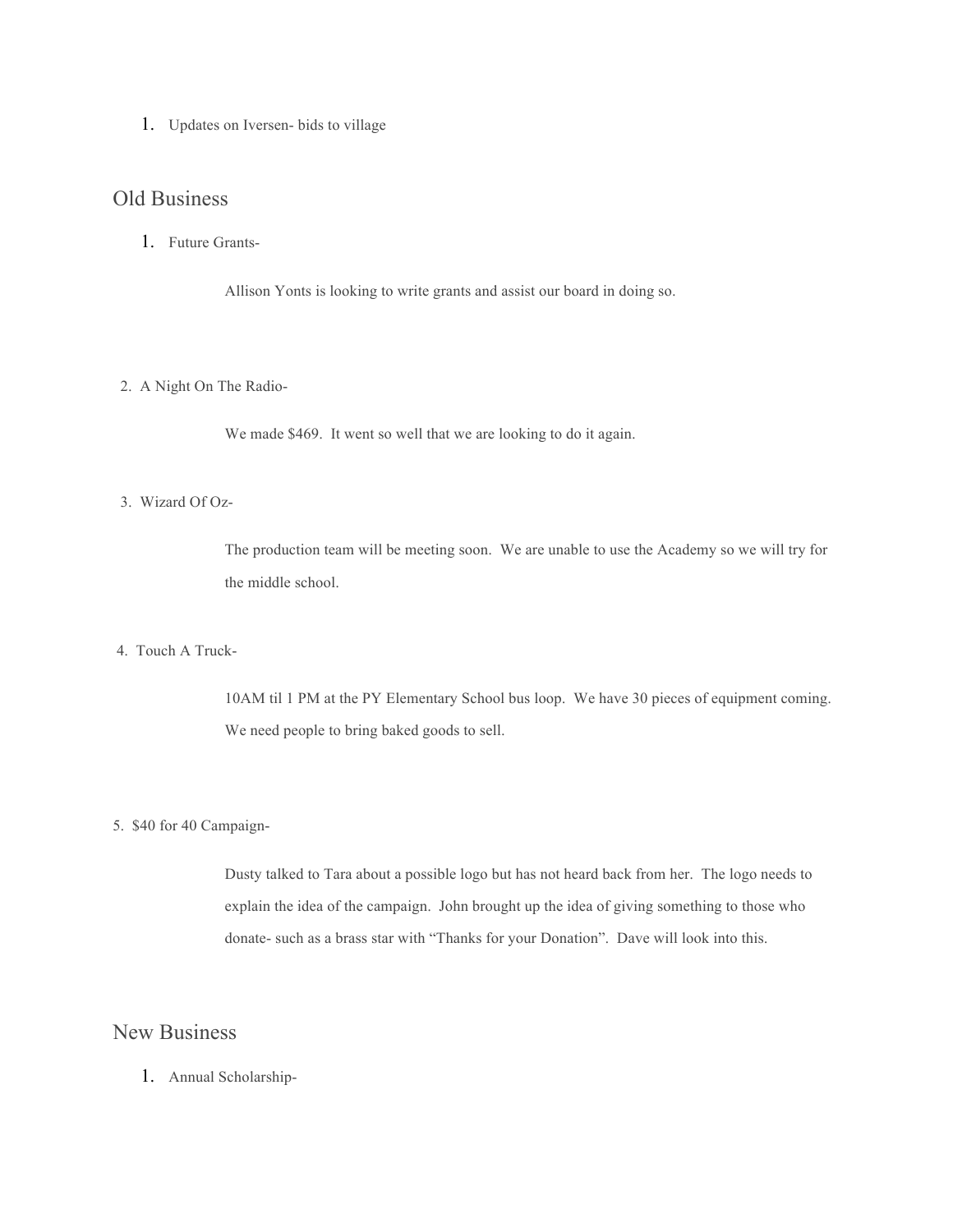1. Updates on Iversen- bids to village

#### Old Business

1. Future Grants-

Allison Yonts is looking to write grants and assist our board in doing so.

#### 2. A Night On The Radio-

We made \$469. It went so well that we are looking to do it again.

#### 3. Wizard Of Oz-

The production team will be meeting soon. We are unable to use the Academy so we will try for the middle school.

#### 4. Touch A Truck-

10AM til 1 PM at the PY Elementary School bus loop. We have 30 pieces of equipment coming. We need people to bring baked goods to sell.

#### 5. \$40 for 40 Campaign-

Dusty talked to Tara about a possible logo but has not heard back from her. The logo needs to explain the idea of the campaign. John brought up the idea of giving something to those who donate- such as a brass star with "Thanks for your Donation". Dave will look into this.

#### New Business

1. Annual Scholarship-